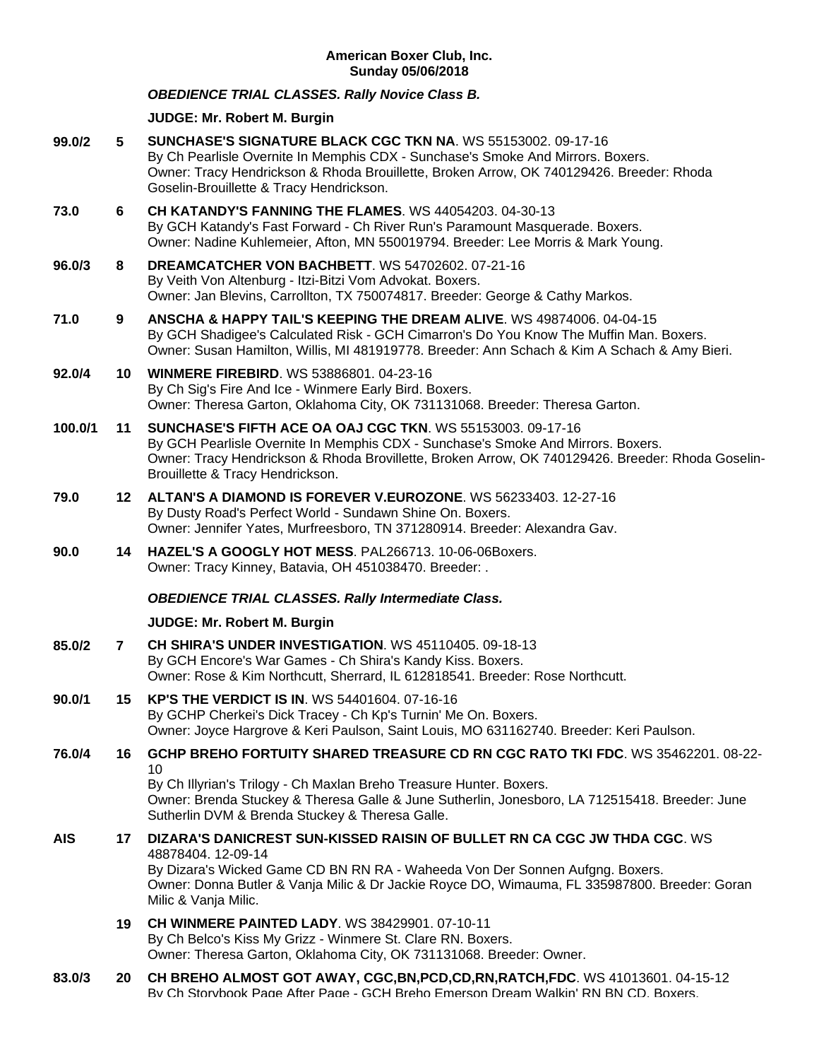## **American Boxer Club, Inc. Sunday 05/06/2018**

## *OBEDIENCE TRIAL CLASSES. Rally Novice Class B.*

# **JUDGE: [Mr. Robert M. Burgin](http://www.infodog.com/show/judge/jdgprofile.htm?jn=18811)**

| 99.0/2  | 5              | SUNCHASE'S SIGNATURE BLACK CGC TKN NA. WS 55153002. 09-17-16<br>By Ch Pearlisle Overnite In Memphis CDX - Sunchase's Smoke And Mirrors. Boxers.<br>Owner: Tracy Hendrickson & Rhoda Brouillette, Broken Arrow, OK 740129426. Breeder: Rhoda<br>Goselin-Brouillette & Tracy Hendrickson.                           |
|---------|----------------|-------------------------------------------------------------------------------------------------------------------------------------------------------------------------------------------------------------------------------------------------------------------------------------------------------------------|
| 73.0    | 6              | CH KATANDY'S FANNING THE FLAMES, WS 44054203, 04-30-13<br>By GCH Katandy's Fast Forward - Ch River Run's Paramount Masquerade. Boxers.<br>Owner: Nadine Kuhlemeier, Afton, MN 550019794. Breeder: Lee Morris & Mark Young.                                                                                        |
| 96.0/3  | 8              | DREAMCATCHER VON BACHBETT. WS 54702602. 07-21-16<br>By Veith Von Altenburg - Itzi-Bitzi Vom Advokat. Boxers.<br>Owner: Jan Blevins, Carrollton, TX 750074817. Breeder: George & Cathy Markos.                                                                                                                     |
| 71.0    | 9              | ANSCHA & HAPPY TAIL'S KEEPING THE DREAM ALIVE, WS 49874006, 04-04-15<br>By GCH Shadigee's Calculated Risk - GCH Cimarron's Do You Know The Muffin Man. Boxers.<br>Owner: Susan Hamilton, Willis, MI 481919778. Breeder: Ann Schach & Kim A Schach & Amy Bieri.                                                    |
| 92.0/4  | 10             | <b>WINMERE FIREBIRD. WS 53886801.04-23-16</b><br>By Ch Sig's Fire And Ice - Winmere Early Bird. Boxers.<br>Owner: Theresa Garton, Oklahoma City, OK 731131068. Breeder: Theresa Garton.                                                                                                                           |
| 100.0/1 | 11             | <b>SUNCHASE'S FIFTH ACE OA OAJ CGC TKN. WS 55153003. 09-17-16</b><br>By GCH Pearlisle Overnite In Memphis CDX - Sunchase's Smoke And Mirrors. Boxers.<br>Owner: Tracy Hendrickson & Rhoda Brovillette, Broken Arrow, OK 740129426. Breeder: Rhoda Goselin-<br>Brouillette & Tracy Hendrickson.                    |
| 79.0    | 12.            | ALTAN'S A DIAMOND IS FOREVER V.EUROZONE. WS 56233403. 12-27-16<br>By Dusty Road's Perfect World - Sundawn Shine On. Boxers.<br>Owner: Jennifer Yates, Murfreesboro, TN 371280914. Breeder: Alexandra Gav.                                                                                                         |
| 90.0    | 14             | HAZEL'S A GOOGLY HOT MESS. PAL266713. 10-06-06Boxers.<br>Owner: Tracy Kinney, Batavia, OH 451038470. Breeder: .                                                                                                                                                                                                   |
|         |                | <b>OBEDIENCE TRIAL CLASSES. Rally Intermediate Class.</b>                                                                                                                                                                                                                                                         |
|         |                | JUDGE: Mr. Robert M. Burgin                                                                                                                                                                                                                                                                                       |
| 85.0/2  | $\overline{7}$ | CH SHIRA'S UNDER INVESTIGATION. WS 45110405. 09-18-13<br>By GCH Encore's War Games - Ch Shira's Kandy Kiss. Boxers.<br>Owner: Rose & Kim Northcutt, Sherrard, IL 612818541. Breeder: Rose Northcutt.                                                                                                              |
| 90.0/1  | 15             | <b>KP'S THE VERDICT IS IN. WS 54401604, 07-16-16</b><br>By GCHP Cherkei's Dick Tracey - Ch Kp's Turnin' Me On. Boxers.<br>Owner: Joyce Hargrove & Keri Paulson, Saint Louis, MO 631162740. Breeder: Keri Paulson.                                                                                                 |
| 76.0/4  | 16             | GCHP BREHO FORTUITY SHARED TREASURE CD RN CGC RATO TKI FDC. WS 35462201. 08-22-<br>10<br>By Ch Illyrian's Trilogy - Ch Maxlan Breho Treasure Hunter. Boxers.<br>Owner: Brenda Stuckey & Theresa Galle & June Sutherlin, Jonesboro, LA 712515418. Breeder: June<br>Sutherlin DVM & Brenda Stuckey & Theresa Galle. |
| AIS     | 17             | DIZARA'S DANICREST SUN-KISSED RAISIN OF BULLET RN CA CGC JW THDA CGC. WS<br>48878404.12-09-14<br>By Dizara's Wicked Game CD BN RN RA - Waheeda Von Der Sonnen Aufgng. Boxers.<br>Owner: Donna Butler & Vanja Milic & Dr Jackie Royce DO, Wimauma, FL 335987800. Breeder: Goran<br>Milic & Vanja Milic.            |

- **19 [CH WINMERE PAINTED LADY](http://www.infodog.com/my/drlookup2.htm?makc=WS%2038429901&mdog=Ch+Winmere+Painted+Lady&wins=all)**. WS 38429901. 07-10-11 By Ch Belco's Kiss My Grizz - Winmere St. Clare RN. Boxers. Owner: Theresa Garton, Oklahoma City, OK 731131068. Breeder: Owner.
- **83.0/3 20 [CH BREHO ALMOST GOT AWAY, CGC,BN,PCD,CD,RN,RATCH,FDC](http://www.infodog.com/my/drlookup2.htm?makc=WS%2041013601&mdog=Ch+Breho+Almost+Got+Away,+CGC,BN,PCD,CD,RN,RATCH,FDC&wins=all)**. WS 41013601. 04-15-12 By Ch Storybook Page After Page - GCH Breho Emerson Dream Walkin' RN BN CD. Boxers.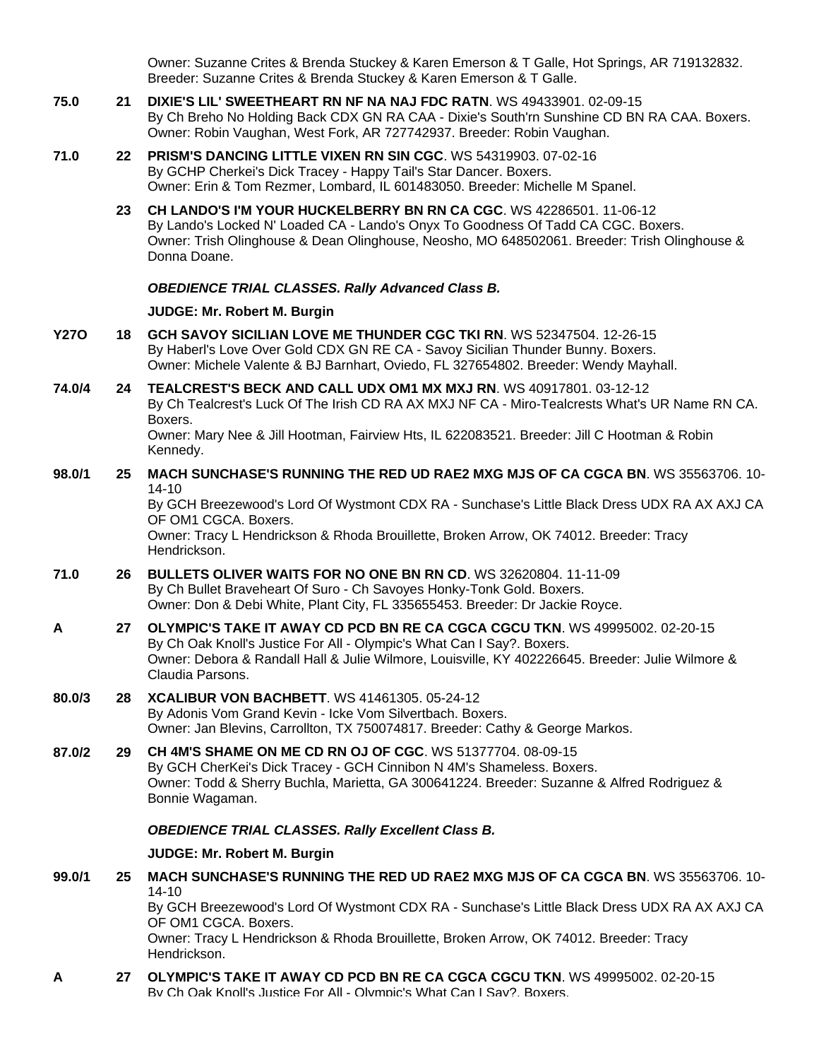Owner: Suzanne Crites & Brenda Stuckey & Karen Emerson & T Galle, Hot Springs, AR 719132832. Breeder: Suzanne Crites & Brenda Stuckey & Karen Emerson & T Galle.

- **75.0 21 [DIXIE'S LIL' SWEETHEART RN NF NA NAJ FDC RATN](http://www.infodog.com/my/drlookup2.htm?makc=WS%2049433901&mdog=Dixie%27s+Lil%27+Sweetheart+RN+NF+NA+NAJ+FDC+RATN&wins=all)**. WS 49433901. 02-09-15 By Ch Breho No Holding Back CDX GN RA CAA - Dixie's South'rn Sunshine CD BN RA CAA. Boxers. Owner: Robin Vaughan, West Fork, AR 727742937. Breeder: Robin Vaughan.
- **71.0 22 [PRISM'S DANCING LITTLE VIXEN RN SIN CGC](http://www.infodog.com/my/drlookup2.htm?makc=WS%2054319903&mdog=Prism%27s+Dancing+Little+Vixen+RN+SIN+CGC&wins=all)**. WS 54319903. 07-02-16 By GCHP Cherkei's Dick Tracey - Happy Tail's Star Dancer. Boxers. Owner: Erin & Tom Rezmer, Lombard, IL 601483050. Breeder: Michelle M Spanel.
	- **23 [CH LANDO'S I'M YOUR HUCKELBERRY BN RN CA CGC](http://www.infodog.com/my/drlookup2.htm?makc=WS%2042286501&mdog=Ch+Lando%27s+I%27m+Your+Huckelberry+BN+RN+CA+CGC&wins=all)**. WS 42286501. 11-06-12 By Lando's Locked N' Loaded CA - Lando's Onyx To Goodness Of Tadd CA CGC. Boxers. Owner: Trish Olinghouse & Dean Olinghouse, Neosho, MO 648502061. Breeder: Trish Olinghouse & Donna Doane.

#### *OBEDIENCE TRIAL CLASSES. Rally Advanced Class B.*

## **JUDGE: [Mr. Robert M. Burgin](http://www.infodog.com/show/judge/jdgprofile.htm?jn=18811)**

- **Y27O 18 [GCH SAVOY SICILIAN LOVE ME THUNDER CGC TKI RN](http://www.infodog.com/my/drlookup2.htm?makc=WS%2052347504&mdog=GCH+Savoy+Sicilian+Love+Me+Thunder+CGC+TKI+RN&wins=all)**. WS 52347504. 12-26-15 By Haberl's Love Over Gold CDX GN RE CA - Savoy Sicilian Thunder Bunny. Boxers. Owner: Michele Valente & BJ Barnhart, Oviedo, FL 327654802. Breeder: Wendy Mayhall.
- **74.0/4 24 [TEALCREST'S BECK AND CALL UDX OM1 MX MXJ RN](http://www.infodog.com/my/drlookup2.htm?makc=WS%2040917801&mdog=Tealcrest%27s+Beck+And+Call+UDX+OM1+MX+MXJ+RN&wins=all)**. WS 40917801. 03-12-12 By Ch Tealcrest's Luck Of The Irish CD RA AX MXJ NF CA - Miro-Tealcrests What's UR Name RN CA. Boxers. Owner: Mary Nee & Jill Hootman, Fairview Hts, IL 622083521. Breeder: Jill C Hootman & Robin Kennedy.
- **98.0/1 25 [MACH SUNCHASE'S RUNNING THE RED UD RAE2 MXG MJS OF CA CGCA BN](http://www.infodog.com/my/drlookup2.htm?makc=WS%2035563706&mdog=MACH+Sunchase%27s+Running+The+Red+UD+RAE2+MXG+MJS+OF+CA+CGCA+BN&wins=all)**. WS 35563706. 10- 14-10

By GCH Breezewood's Lord Of Wystmont CDX RA - Sunchase's Little Black Dress UDX RA AX AXJ CA OF OM1 CGCA. Boxers.

Owner: Tracy L Hendrickson & Rhoda Brouillette, Broken Arrow, OK 74012. Breeder: Tracy Hendrickson.

- **71.0 26 [BULLETS OLIVER WAITS FOR NO ONE BN RN CD](http://www.infodog.com/my/drlookup2.htm?makc=WS%2032620804&mdog=Bullets+Oliver+Waits+For+No+One+BN+RN+CD&wins=all)**. WS 32620804. 11-11-09 By Ch Bullet Braveheart Of Suro - Ch Savoyes Honky-Tonk Gold. Boxers. Owner: Don & Debi White, Plant City, FL 335655453. Breeder: Dr Jackie Royce.
- **A 27 [OLYMPIC'S TAKE IT AWAY CD PCD BN RE CA CGCA CGCU TKN](http://www.infodog.com/my/drlookup2.htm?makc=WS%2049995002&mdog=Olympic%27s+Take+It+Away+CD+PCD+BN+RE+CA+CGCA+CGCU+TKN&wins=all)**. WS 49995002. 02-20-15 By Ch Oak Knoll's Justice For All - Olympic's What Can I Say?. Boxers. Owner: Debora & Randall Hall & Julie Wilmore, Louisville, KY 402226645. Breeder: Julie Wilmore & Claudia Parsons.
- **80.0/3 28 [XCALIBUR VON BACHBETT](http://www.infodog.com/my/drlookup2.htm?makc=WS%2041461305&mdog=Xcalibur+Von+Bachbett&wins=all)**. WS 41461305. 05-24-12 By Adonis Vom Grand Kevin - Icke Vom Silvertbach. Boxers. Owner: Jan Blevins, Carrollton, TX 750074817. Breeder: Cathy & George Markos.
- **87.0/2 29 [CH 4M'S SHAME ON ME CD RN OJ OF CGC](http://www.infodog.com/my/drlookup2.htm?makc=WS%2051377704&mdog=Ch+4M%27s+Shame+On+Me+CD+RN+OJ+OF+CGC&wins=all)**. WS 51377704. 08-09-15 By GCH CherKei's Dick Tracey - GCH Cinnibon N 4M's Shameless. Boxers. Owner: Todd & Sherry Buchla, Marietta, GA 300641224. Breeder: Suzanne & Alfred Rodriguez & Bonnie Wagaman.

#### *OBEDIENCE TRIAL CLASSES. Rally Excellent Class B.*

#### **JUDGE: [Mr. Robert M. Burgin](http://www.infodog.com/show/judge/jdgprofile.htm?jn=18811)**

- **99.0/1 25 [MACH SUNCHASE'S RUNNING THE RED UD RAE2 MXG MJS OF CA CGCA BN](http://www.infodog.com/my/drlookup2.htm?makc=WS%2035563706&mdog=MACH+Sunchase%27s+Running+The+Red+UD+RAE2+MXG+MJS+OF+CA+CGCA+BN&wins=all)**. WS 35563706. 10- 14-10 By GCH Breezewood's Lord Of Wystmont CDX RA - Sunchase's Little Black Dress UDX RA AX AXJ CA OF OM1 CGCA. Boxers. Owner: Tracy L Hendrickson & Rhoda Brouillette, Broken Arrow, OK 74012. Breeder: Tracy Hendrickson.
- **A 27 [OLYMPIC'S TAKE IT AWAY CD PCD BN RE CA CGCA CGCU TKN](http://www.infodog.com/my/drlookup2.htm?makc=WS%2049995002&mdog=Olympic%27s+Take+It+Away+CD+PCD+BN+RE+CA+CGCA+CGCU+TKN&wins=all)**. WS 49995002. 02-20-15 By Ch Oak Knoll's Justice For All - Olympic's What Can I Say?. Boxers.